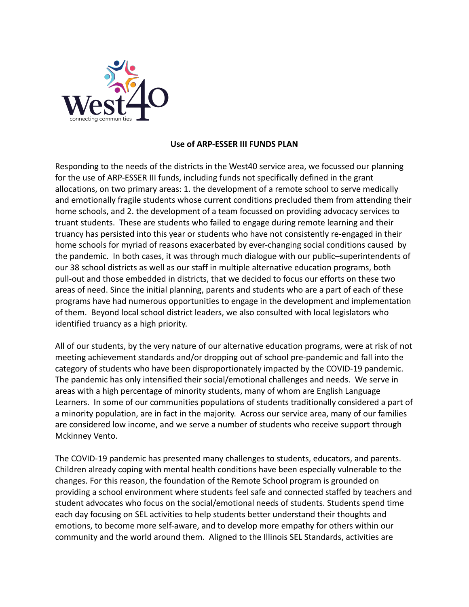

## **Use of ARP-ESSER III FUNDS PLAN**

Responding to the needs of the districts in the West40 service area, we focussed our planning for the use of ARP-ESSER III funds, including funds not specifically defined in the grant allocations, on two primary areas: 1. the development of a remote school to serve medically and emotionally fragile students whose current conditions precluded them from attending their home schools, and 2. the development of a team focussed on providing advocacy services to truant students. These are students who failed to engage during remote learning and their truancy has persisted into this year or students who have not consistently re-engaged in their home schools for myriad of reasons exacerbated by ever-changing social conditions caused by the pandemic. In both cases, it was through much dialogue with our public–superintendents of our 38 school districts as well as our staff in multiple alternative education programs, both pull-out and those embedded in districts, that we decided to focus our efforts on these two areas of need. Since the initial planning, parents and students who are a part of each of these programs have had numerous opportunities to engage in the development and implementation of them. Beyond local school district leaders, we also consulted with local legislators who identified truancy as a high priority.

All of our students, by the very nature of our alternative education programs, were at risk of not meeting achievement standards and/or dropping out of school pre-pandemic and fall into the category of students who have been disproportionately impacted by the COVID-19 pandemic. The pandemic has only intensified their social/emotional challenges and needs. We serve in areas with a high percentage of minority students, many of whom are English Language Learners. In some of our communities populations of students traditionally considered a part of a minority population, are in fact in the majority. Across our service area, many of our families are considered low income, and we serve a number of students who receive support through Mckinney Vento.

The COVID-19 pandemic has presented many challenges to students, educators, and parents. Children already coping with mental health conditions have been especially vulnerable to the changes. For this reason, the foundation of the Remote School program is grounded on providing a school environment where students feel safe and connected staffed by teachers and student advocates who focus on the social/emotional needs of students. Students spend time each day focusing on SEL activities to help students better understand their thoughts and emotions, to become more self-aware, and to develop more empathy for others within our community and the world around them. Aligned to the Illinois SEL Standards, activities are